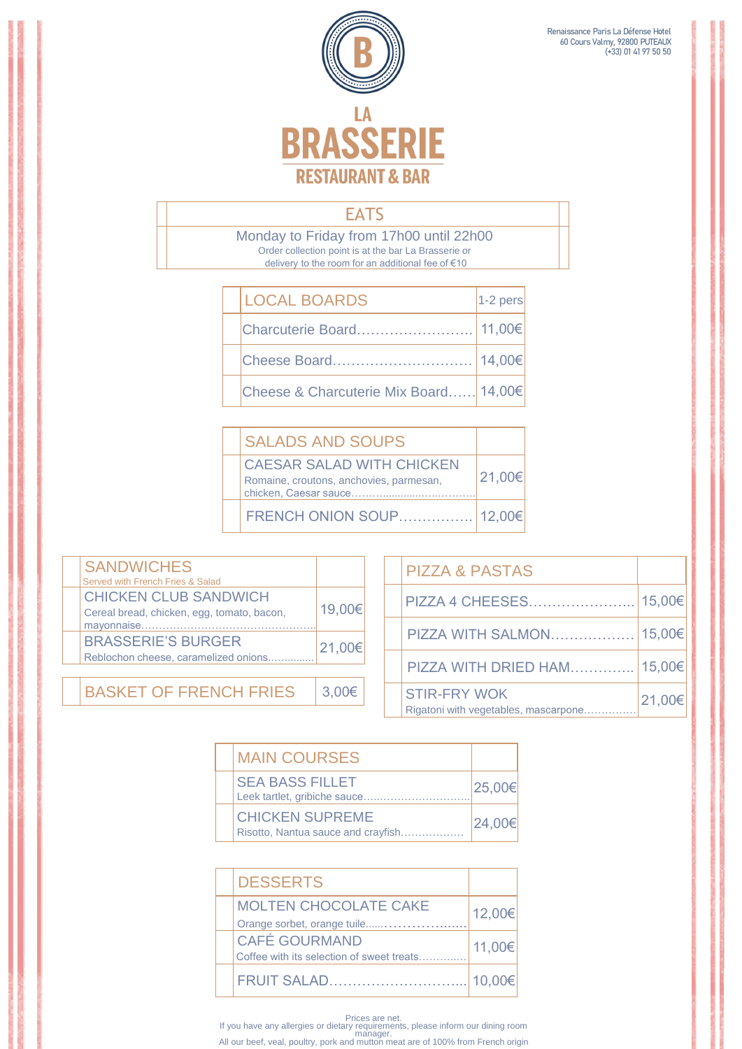

 Renaissance Paris La Défense Hotel 60 Cours Valmy, 92800 PUTEAUX (+33) 01 41 97 50 50

## **EATS**

 Monday to Friday from 17h00 until 22h00 delivery to the room for an additional fee of €10 Order collection point is at the bar La Brasserie or

| <b>LOCAL BOARDS</b>                   | $1-2$ pers |
|---------------------------------------|------------|
| Charcuterie Board                     | 11,00€     |
| Cheese Board                          | 14,00€     |
| Cheese & Charcuterie Mix Board 14,00€ |            |

| <b>SANDWICHES</b><br>Served with French Fries & Salad                                    |                |  |
|------------------------------------------------------------------------------------------|----------------|--|
| <b>CHICKEN CLUB SANDWICH</b><br>Cereal bread, chicken, egg, tomato, bacon,<br>mayonnaise | 19,00€         |  |
| <b>BRASSERIE'S BURGER</b><br>Reblochon cheese, caramelized onions                        | 21,00€         |  |
|                                                                                          |                |  |
| <b>BASKET OF FRENCH FRIES</b>                                                            | 3 <sub>1</sub> |  |

| <b>SALADS AND SOUPS</b>                                                                              |        |
|------------------------------------------------------------------------------------------------------|--------|
| <b>CAESAR SALAD WITH CHICKEN</b><br>Romaine, croutons, anchovies, parmesan,<br>chicken, Caesar sauce | 21,00€ |
| FRENCH ONION SOUP                                                                                    | 12.00€ |



| <b>PIZZA &amp; PASTAS</b>                                   |        |
|-------------------------------------------------------------|--------|
| <b>PIZZA 4 CHEESES</b>                                      | 15,00€ |
| PIZZA WITH SALMON                                           | 15,00€ |
| PIZZA WITH DRIED HAM                                        | 15,00€ |
| <b>STIR-FRY WOK</b><br>Rigatoni with vegetables, mascarpone | 21,00€ |

| <b>MAIN COURSES</b>    |        |
|------------------------|--------|
| <b>SEA BASS FILLET</b> | OR UUE |

| <b>DESSERTS</b>                           |        |  |
|-------------------------------------------|--------|--|
| <b>MOLTEN CHOCOLATE CAKE</b>              | 12,00€ |  |
| Orange sorbet, orange tuile               |        |  |
| <b>CAFÉ GOURMAND</b>                      | 11,00€ |  |
| Coffee with its selection of sweet treats |        |  |
| FRUIT SALAD                               | 10.00€ |  |

Prices are net. If you have any allergies or dietary requirements, please inform our dining room manager. All our beef, veal, poultry, pork and mutton meat are of 100% from French origin